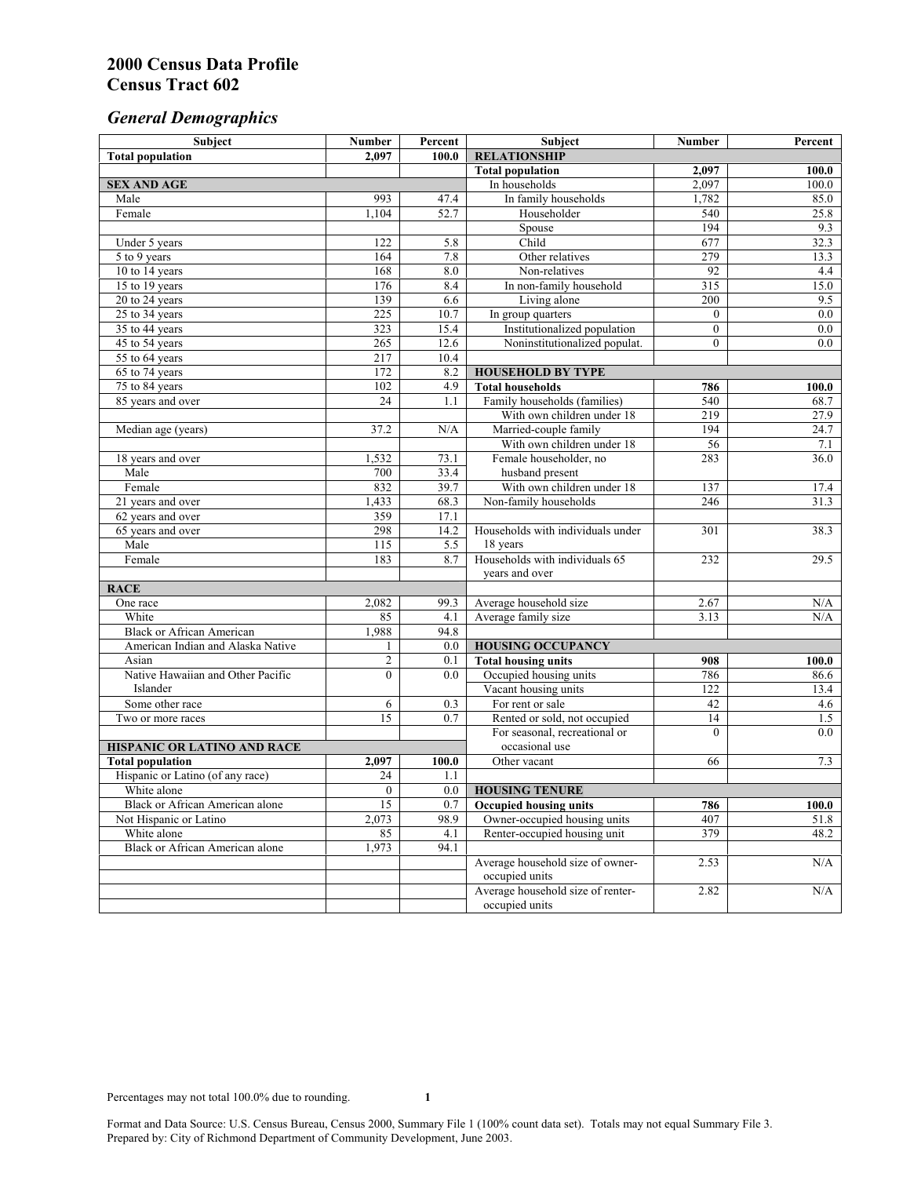# *General Demographics*

| 2.097<br>100.0<br><b>Total population</b><br><b>Total population</b><br>100.0<br>2,097<br>2,097<br><b>SEX AND AGE</b><br>In households<br>100.0<br>Male<br>993<br>In family households<br>1,782<br>85.0<br>47.4<br>Female<br>1.104<br>52.7<br>Householder<br>540<br>25.8<br>194<br>Spouse<br>9.3<br>Child<br>677<br>Under 5 years<br>32.3<br>122<br>5.8<br>7.8<br>279<br>164<br>Other relatives<br>13.3<br>5 to 9 years<br>10 to 14 years<br>168<br>8.0<br>Non-relatives<br>92<br>4.4<br>$\overline{315}$<br>15 to 19 years<br>176<br>8.4<br>In non-family household<br>15.0<br>139<br>6.6<br>200<br>9.5<br>20 to 24 years<br>Living alone<br>225<br>25 to 34 years<br>0.0<br>10.7<br>In group quarters<br>$\overline{0}$<br>Institutionalized population<br>323<br>15.4<br>$\mathbf{0}$<br>0.0<br>35 to 44 years<br>265<br>12.6<br>Noninstitutionalized populat.<br>$\overline{0}$<br>0.0<br>45 to 54 years<br>10.4<br>55 to 64 years<br>217<br>172<br>65 to 74 years<br>8.2<br><b>HOUSEHOLD BY TYPE</b><br>102<br>4.9<br><b>Total households</b><br>75 to 84 years<br>786<br>100.0<br>Family households (families)<br>85 years and over<br>24<br>540<br>1.1<br>68.7<br>219<br>With own children under 18<br>27.9<br>37.2<br>Married-couple family<br>194<br>Median age (years)<br>N/A<br>24.7<br>With own children under 18<br>56<br>7.1<br>1,532<br>73.1<br>Female householder, no<br>283<br>36.0<br>18 years and over<br>33.4<br>700<br>husband present<br>Male<br>832<br>39.7<br>Female<br>With own children under 18<br>137<br>17.4<br>68.3<br>Non-family households<br>246<br>31.3<br>21 years and over<br>1,433<br>359<br>62 years and over<br>17.1<br>298<br>38.3<br>14.2<br>Households with individuals under<br>301<br>65 years and over<br>Male<br>115<br>5.5<br>18 years<br>183<br>Households with individuals 65<br>Female<br>8.7<br>29.5<br>232<br>years and over<br><b>RACE</b><br>One race<br>2,082<br>99.3<br>Average household size<br>2.67<br>N/A<br>White<br>Average family size<br>N/A<br>85<br>4.1<br>3.13<br>1,988<br><b>Black or African American</b><br>94.8<br>American Indian and Alaska Native<br>0.0<br><b>HOUSING OCCUPANCY</b><br>1<br>$\overline{c}$<br>0.1<br><b>Total housing units</b><br>Asian<br>908<br>100.0<br>$\theta$<br>Native Hawaiian and Other Pacific<br>Occupied housing units<br>786<br>86.6<br>0.0<br>Islander<br>Vacant housing units<br>122<br>13.4<br>For rent or sale<br>42<br>Some other race<br>6<br>4.6<br>0.3<br>$\overline{15}$<br>0.7<br>Rented or sold, not occupied<br>14<br>1.5<br>Two or more races<br>For seasonal, recreational or<br>$\theta$<br>0.0<br>occasional use<br>HISPANIC OR LATINO AND RACE<br><b>Total population</b><br>100.0<br>7.3<br>2,097<br>66<br>Other vacant<br>Hispanic or Latino (of any race)<br>24<br>1.1<br>White alone<br>$\overline{0}$<br>0.0<br><b>HOUSING TENURE</b><br>Black or African American alone<br>15<br>0.7<br><b>Occupied housing units</b><br>786<br>100.0<br>2,073<br>Owner-occupied housing units<br>407<br>Not Hispanic or Latino<br>98.9<br>51.8<br>White alone<br>Renter-occupied housing unit<br>379<br>48.2<br>85<br>4.1<br><b>Black or African American alone</b><br>1,973<br>94.1<br>Average household size of owner-<br>N/A<br>2.53<br>occupied units<br>Average household size of renter-<br>2.82<br>N/A<br>occupied units | Subject | <b>Number</b> | Percent | Subject             | Number | Percent |
|--------------------------------------------------------------------------------------------------------------------------------------------------------------------------------------------------------------------------------------------------------------------------------------------------------------------------------------------------------------------------------------------------------------------------------------------------------------------------------------------------------------------------------------------------------------------------------------------------------------------------------------------------------------------------------------------------------------------------------------------------------------------------------------------------------------------------------------------------------------------------------------------------------------------------------------------------------------------------------------------------------------------------------------------------------------------------------------------------------------------------------------------------------------------------------------------------------------------------------------------------------------------------------------------------------------------------------------------------------------------------------------------------------------------------------------------------------------------------------------------------------------------------------------------------------------------------------------------------------------------------------------------------------------------------------------------------------------------------------------------------------------------------------------------------------------------------------------------------------------------------------------------------------------------------------------------------------------------------------------------------------------------------------------------------------------------------------------------------------------------------------------------------------------------------------------------------------------------------------------------------------------------------------------------------------------------------------------------------------------------------------------------------------------------------------------------------------------------------------------------------------------------------------------------------------------------------------------------------------------------------------------------------------------------------------------------------------------------------------------------------------------------------------------------------------------------------------------------------------------------------------------------------------------------------------------------------------------------------------------------------------------------------------------------------------------------------------------------------------------------------------------------------------------------------------------------------------------------------------------------------------------------------------------------------------------------------------------------------|---------|---------------|---------|---------------------|--------|---------|
|                                                                                                                                                                                                                                                                                                                                                                                                                                                                                                                                                                                                                                                                                                                                                                                                                                                                                                                                                                                                                                                                                                                                                                                                                                                                                                                                                                                                                                                                                                                                                                                                                                                                                                                                                                                                                                                                                                                                                                                                                                                                                                                                                                                                                                                                                                                                                                                                                                                                                                                                                                                                                                                                                                                                                                                                                                                                                                                                                                                                                                                                                                                                                                                                                                                                                                                                                  |         |               |         | <b>RELATIONSHIP</b> |        |         |
|                                                                                                                                                                                                                                                                                                                                                                                                                                                                                                                                                                                                                                                                                                                                                                                                                                                                                                                                                                                                                                                                                                                                                                                                                                                                                                                                                                                                                                                                                                                                                                                                                                                                                                                                                                                                                                                                                                                                                                                                                                                                                                                                                                                                                                                                                                                                                                                                                                                                                                                                                                                                                                                                                                                                                                                                                                                                                                                                                                                                                                                                                                                                                                                                                                                                                                                                                  |         |               |         |                     |        |         |
|                                                                                                                                                                                                                                                                                                                                                                                                                                                                                                                                                                                                                                                                                                                                                                                                                                                                                                                                                                                                                                                                                                                                                                                                                                                                                                                                                                                                                                                                                                                                                                                                                                                                                                                                                                                                                                                                                                                                                                                                                                                                                                                                                                                                                                                                                                                                                                                                                                                                                                                                                                                                                                                                                                                                                                                                                                                                                                                                                                                                                                                                                                                                                                                                                                                                                                                                                  |         |               |         |                     |        |         |
|                                                                                                                                                                                                                                                                                                                                                                                                                                                                                                                                                                                                                                                                                                                                                                                                                                                                                                                                                                                                                                                                                                                                                                                                                                                                                                                                                                                                                                                                                                                                                                                                                                                                                                                                                                                                                                                                                                                                                                                                                                                                                                                                                                                                                                                                                                                                                                                                                                                                                                                                                                                                                                                                                                                                                                                                                                                                                                                                                                                                                                                                                                                                                                                                                                                                                                                                                  |         |               |         |                     |        |         |
|                                                                                                                                                                                                                                                                                                                                                                                                                                                                                                                                                                                                                                                                                                                                                                                                                                                                                                                                                                                                                                                                                                                                                                                                                                                                                                                                                                                                                                                                                                                                                                                                                                                                                                                                                                                                                                                                                                                                                                                                                                                                                                                                                                                                                                                                                                                                                                                                                                                                                                                                                                                                                                                                                                                                                                                                                                                                                                                                                                                                                                                                                                                                                                                                                                                                                                                                                  |         |               |         |                     |        |         |
|                                                                                                                                                                                                                                                                                                                                                                                                                                                                                                                                                                                                                                                                                                                                                                                                                                                                                                                                                                                                                                                                                                                                                                                                                                                                                                                                                                                                                                                                                                                                                                                                                                                                                                                                                                                                                                                                                                                                                                                                                                                                                                                                                                                                                                                                                                                                                                                                                                                                                                                                                                                                                                                                                                                                                                                                                                                                                                                                                                                                                                                                                                                                                                                                                                                                                                                                                  |         |               |         |                     |        |         |
|                                                                                                                                                                                                                                                                                                                                                                                                                                                                                                                                                                                                                                                                                                                                                                                                                                                                                                                                                                                                                                                                                                                                                                                                                                                                                                                                                                                                                                                                                                                                                                                                                                                                                                                                                                                                                                                                                                                                                                                                                                                                                                                                                                                                                                                                                                                                                                                                                                                                                                                                                                                                                                                                                                                                                                                                                                                                                                                                                                                                                                                                                                                                                                                                                                                                                                                                                  |         |               |         |                     |        |         |
|                                                                                                                                                                                                                                                                                                                                                                                                                                                                                                                                                                                                                                                                                                                                                                                                                                                                                                                                                                                                                                                                                                                                                                                                                                                                                                                                                                                                                                                                                                                                                                                                                                                                                                                                                                                                                                                                                                                                                                                                                                                                                                                                                                                                                                                                                                                                                                                                                                                                                                                                                                                                                                                                                                                                                                                                                                                                                                                                                                                                                                                                                                                                                                                                                                                                                                                                                  |         |               |         |                     |        |         |
|                                                                                                                                                                                                                                                                                                                                                                                                                                                                                                                                                                                                                                                                                                                                                                                                                                                                                                                                                                                                                                                                                                                                                                                                                                                                                                                                                                                                                                                                                                                                                                                                                                                                                                                                                                                                                                                                                                                                                                                                                                                                                                                                                                                                                                                                                                                                                                                                                                                                                                                                                                                                                                                                                                                                                                                                                                                                                                                                                                                                                                                                                                                                                                                                                                                                                                                                                  |         |               |         |                     |        |         |
|                                                                                                                                                                                                                                                                                                                                                                                                                                                                                                                                                                                                                                                                                                                                                                                                                                                                                                                                                                                                                                                                                                                                                                                                                                                                                                                                                                                                                                                                                                                                                                                                                                                                                                                                                                                                                                                                                                                                                                                                                                                                                                                                                                                                                                                                                                                                                                                                                                                                                                                                                                                                                                                                                                                                                                                                                                                                                                                                                                                                                                                                                                                                                                                                                                                                                                                                                  |         |               |         |                     |        |         |
|                                                                                                                                                                                                                                                                                                                                                                                                                                                                                                                                                                                                                                                                                                                                                                                                                                                                                                                                                                                                                                                                                                                                                                                                                                                                                                                                                                                                                                                                                                                                                                                                                                                                                                                                                                                                                                                                                                                                                                                                                                                                                                                                                                                                                                                                                                                                                                                                                                                                                                                                                                                                                                                                                                                                                                                                                                                                                                                                                                                                                                                                                                                                                                                                                                                                                                                                                  |         |               |         |                     |        |         |
|                                                                                                                                                                                                                                                                                                                                                                                                                                                                                                                                                                                                                                                                                                                                                                                                                                                                                                                                                                                                                                                                                                                                                                                                                                                                                                                                                                                                                                                                                                                                                                                                                                                                                                                                                                                                                                                                                                                                                                                                                                                                                                                                                                                                                                                                                                                                                                                                                                                                                                                                                                                                                                                                                                                                                                                                                                                                                                                                                                                                                                                                                                                                                                                                                                                                                                                                                  |         |               |         |                     |        |         |
|                                                                                                                                                                                                                                                                                                                                                                                                                                                                                                                                                                                                                                                                                                                                                                                                                                                                                                                                                                                                                                                                                                                                                                                                                                                                                                                                                                                                                                                                                                                                                                                                                                                                                                                                                                                                                                                                                                                                                                                                                                                                                                                                                                                                                                                                                                                                                                                                                                                                                                                                                                                                                                                                                                                                                                                                                                                                                                                                                                                                                                                                                                                                                                                                                                                                                                                                                  |         |               |         |                     |        |         |
|                                                                                                                                                                                                                                                                                                                                                                                                                                                                                                                                                                                                                                                                                                                                                                                                                                                                                                                                                                                                                                                                                                                                                                                                                                                                                                                                                                                                                                                                                                                                                                                                                                                                                                                                                                                                                                                                                                                                                                                                                                                                                                                                                                                                                                                                                                                                                                                                                                                                                                                                                                                                                                                                                                                                                                                                                                                                                                                                                                                                                                                                                                                                                                                                                                                                                                                                                  |         |               |         |                     |        |         |
|                                                                                                                                                                                                                                                                                                                                                                                                                                                                                                                                                                                                                                                                                                                                                                                                                                                                                                                                                                                                                                                                                                                                                                                                                                                                                                                                                                                                                                                                                                                                                                                                                                                                                                                                                                                                                                                                                                                                                                                                                                                                                                                                                                                                                                                                                                                                                                                                                                                                                                                                                                                                                                                                                                                                                                                                                                                                                                                                                                                                                                                                                                                                                                                                                                                                                                                                                  |         |               |         |                     |        |         |
|                                                                                                                                                                                                                                                                                                                                                                                                                                                                                                                                                                                                                                                                                                                                                                                                                                                                                                                                                                                                                                                                                                                                                                                                                                                                                                                                                                                                                                                                                                                                                                                                                                                                                                                                                                                                                                                                                                                                                                                                                                                                                                                                                                                                                                                                                                                                                                                                                                                                                                                                                                                                                                                                                                                                                                                                                                                                                                                                                                                                                                                                                                                                                                                                                                                                                                                                                  |         |               |         |                     |        |         |
|                                                                                                                                                                                                                                                                                                                                                                                                                                                                                                                                                                                                                                                                                                                                                                                                                                                                                                                                                                                                                                                                                                                                                                                                                                                                                                                                                                                                                                                                                                                                                                                                                                                                                                                                                                                                                                                                                                                                                                                                                                                                                                                                                                                                                                                                                                                                                                                                                                                                                                                                                                                                                                                                                                                                                                                                                                                                                                                                                                                                                                                                                                                                                                                                                                                                                                                                                  |         |               |         |                     |        |         |
|                                                                                                                                                                                                                                                                                                                                                                                                                                                                                                                                                                                                                                                                                                                                                                                                                                                                                                                                                                                                                                                                                                                                                                                                                                                                                                                                                                                                                                                                                                                                                                                                                                                                                                                                                                                                                                                                                                                                                                                                                                                                                                                                                                                                                                                                                                                                                                                                                                                                                                                                                                                                                                                                                                                                                                                                                                                                                                                                                                                                                                                                                                                                                                                                                                                                                                                                                  |         |               |         |                     |        |         |
|                                                                                                                                                                                                                                                                                                                                                                                                                                                                                                                                                                                                                                                                                                                                                                                                                                                                                                                                                                                                                                                                                                                                                                                                                                                                                                                                                                                                                                                                                                                                                                                                                                                                                                                                                                                                                                                                                                                                                                                                                                                                                                                                                                                                                                                                                                                                                                                                                                                                                                                                                                                                                                                                                                                                                                                                                                                                                                                                                                                                                                                                                                                                                                                                                                                                                                                                                  |         |               |         |                     |        |         |
|                                                                                                                                                                                                                                                                                                                                                                                                                                                                                                                                                                                                                                                                                                                                                                                                                                                                                                                                                                                                                                                                                                                                                                                                                                                                                                                                                                                                                                                                                                                                                                                                                                                                                                                                                                                                                                                                                                                                                                                                                                                                                                                                                                                                                                                                                                                                                                                                                                                                                                                                                                                                                                                                                                                                                                                                                                                                                                                                                                                                                                                                                                                                                                                                                                                                                                                                                  |         |               |         |                     |        |         |
|                                                                                                                                                                                                                                                                                                                                                                                                                                                                                                                                                                                                                                                                                                                                                                                                                                                                                                                                                                                                                                                                                                                                                                                                                                                                                                                                                                                                                                                                                                                                                                                                                                                                                                                                                                                                                                                                                                                                                                                                                                                                                                                                                                                                                                                                                                                                                                                                                                                                                                                                                                                                                                                                                                                                                                                                                                                                                                                                                                                                                                                                                                                                                                                                                                                                                                                                                  |         |               |         |                     |        |         |
|                                                                                                                                                                                                                                                                                                                                                                                                                                                                                                                                                                                                                                                                                                                                                                                                                                                                                                                                                                                                                                                                                                                                                                                                                                                                                                                                                                                                                                                                                                                                                                                                                                                                                                                                                                                                                                                                                                                                                                                                                                                                                                                                                                                                                                                                                                                                                                                                                                                                                                                                                                                                                                                                                                                                                                                                                                                                                                                                                                                                                                                                                                                                                                                                                                                                                                                                                  |         |               |         |                     |        |         |
|                                                                                                                                                                                                                                                                                                                                                                                                                                                                                                                                                                                                                                                                                                                                                                                                                                                                                                                                                                                                                                                                                                                                                                                                                                                                                                                                                                                                                                                                                                                                                                                                                                                                                                                                                                                                                                                                                                                                                                                                                                                                                                                                                                                                                                                                                                                                                                                                                                                                                                                                                                                                                                                                                                                                                                                                                                                                                                                                                                                                                                                                                                                                                                                                                                                                                                                                                  |         |               |         |                     |        |         |
|                                                                                                                                                                                                                                                                                                                                                                                                                                                                                                                                                                                                                                                                                                                                                                                                                                                                                                                                                                                                                                                                                                                                                                                                                                                                                                                                                                                                                                                                                                                                                                                                                                                                                                                                                                                                                                                                                                                                                                                                                                                                                                                                                                                                                                                                                                                                                                                                                                                                                                                                                                                                                                                                                                                                                                                                                                                                                                                                                                                                                                                                                                                                                                                                                                                                                                                                                  |         |               |         |                     |        |         |
|                                                                                                                                                                                                                                                                                                                                                                                                                                                                                                                                                                                                                                                                                                                                                                                                                                                                                                                                                                                                                                                                                                                                                                                                                                                                                                                                                                                                                                                                                                                                                                                                                                                                                                                                                                                                                                                                                                                                                                                                                                                                                                                                                                                                                                                                                                                                                                                                                                                                                                                                                                                                                                                                                                                                                                                                                                                                                                                                                                                                                                                                                                                                                                                                                                                                                                                                                  |         |               |         |                     |        |         |
|                                                                                                                                                                                                                                                                                                                                                                                                                                                                                                                                                                                                                                                                                                                                                                                                                                                                                                                                                                                                                                                                                                                                                                                                                                                                                                                                                                                                                                                                                                                                                                                                                                                                                                                                                                                                                                                                                                                                                                                                                                                                                                                                                                                                                                                                                                                                                                                                                                                                                                                                                                                                                                                                                                                                                                                                                                                                                                                                                                                                                                                                                                                                                                                                                                                                                                                                                  |         |               |         |                     |        |         |
|                                                                                                                                                                                                                                                                                                                                                                                                                                                                                                                                                                                                                                                                                                                                                                                                                                                                                                                                                                                                                                                                                                                                                                                                                                                                                                                                                                                                                                                                                                                                                                                                                                                                                                                                                                                                                                                                                                                                                                                                                                                                                                                                                                                                                                                                                                                                                                                                                                                                                                                                                                                                                                                                                                                                                                                                                                                                                                                                                                                                                                                                                                                                                                                                                                                                                                                                                  |         |               |         |                     |        |         |
|                                                                                                                                                                                                                                                                                                                                                                                                                                                                                                                                                                                                                                                                                                                                                                                                                                                                                                                                                                                                                                                                                                                                                                                                                                                                                                                                                                                                                                                                                                                                                                                                                                                                                                                                                                                                                                                                                                                                                                                                                                                                                                                                                                                                                                                                                                                                                                                                                                                                                                                                                                                                                                                                                                                                                                                                                                                                                                                                                                                                                                                                                                                                                                                                                                                                                                                                                  |         |               |         |                     |        |         |
|                                                                                                                                                                                                                                                                                                                                                                                                                                                                                                                                                                                                                                                                                                                                                                                                                                                                                                                                                                                                                                                                                                                                                                                                                                                                                                                                                                                                                                                                                                                                                                                                                                                                                                                                                                                                                                                                                                                                                                                                                                                                                                                                                                                                                                                                                                                                                                                                                                                                                                                                                                                                                                                                                                                                                                                                                                                                                                                                                                                                                                                                                                                                                                                                                                                                                                                                                  |         |               |         |                     |        |         |
|                                                                                                                                                                                                                                                                                                                                                                                                                                                                                                                                                                                                                                                                                                                                                                                                                                                                                                                                                                                                                                                                                                                                                                                                                                                                                                                                                                                                                                                                                                                                                                                                                                                                                                                                                                                                                                                                                                                                                                                                                                                                                                                                                                                                                                                                                                                                                                                                                                                                                                                                                                                                                                                                                                                                                                                                                                                                                                                                                                                                                                                                                                                                                                                                                                                                                                                                                  |         |               |         |                     |        |         |
|                                                                                                                                                                                                                                                                                                                                                                                                                                                                                                                                                                                                                                                                                                                                                                                                                                                                                                                                                                                                                                                                                                                                                                                                                                                                                                                                                                                                                                                                                                                                                                                                                                                                                                                                                                                                                                                                                                                                                                                                                                                                                                                                                                                                                                                                                                                                                                                                                                                                                                                                                                                                                                                                                                                                                                                                                                                                                                                                                                                                                                                                                                                                                                                                                                                                                                                                                  |         |               |         |                     |        |         |
|                                                                                                                                                                                                                                                                                                                                                                                                                                                                                                                                                                                                                                                                                                                                                                                                                                                                                                                                                                                                                                                                                                                                                                                                                                                                                                                                                                                                                                                                                                                                                                                                                                                                                                                                                                                                                                                                                                                                                                                                                                                                                                                                                                                                                                                                                                                                                                                                                                                                                                                                                                                                                                                                                                                                                                                                                                                                                                                                                                                                                                                                                                                                                                                                                                                                                                                                                  |         |               |         |                     |        |         |
|                                                                                                                                                                                                                                                                                                                                                                                                                                                                                                                                                                                                                                                                                                                                                                                                                                                                                                                                                                                                                                                                                                                                                                                                                                                                                                                                                                                                                                                                                                                                                                                                                                                                                                                                                                                                                                                                                                                                                                                                                                                                                                                                                                                                                                                                                                                                                                                                                                                                                                                                                                                                                                                                                                                                                                                                                                                                                                                                                                                                                                                                                                                                                                                                                                                                                                                                                  |         |               |         |                     |        |         |
|                                                                                                                                                                                                                                                                                                                                                                                                                                                                                                                                                                                                                                                                                                                                                                                                                                                                                                                                                                                                                                                                                                                                                                                                                                                                                                                                                                                                                                                                                                                                                                                                                                                                                                                                                                                                                                                                                                                                                                                                                                                                                                                                                                                                                                                                                                                                                                                                                                                                                                                                                                                                                                                                                                                                                                                                                                                                                                                                                                                                                                                                                                                                                                                                                                                                                                                                                  |         |               |         |                     |        |         |
|                                                                                                                                                                                                                                                                                                                                                                                                                                                                                                                                                                                                                                                                                                                                                                                                                                                                                                                                                                                                                                                                                                                                                                                                                                                                                                                                                                                                                                                                                                                                                                                                                                                                                                                                                                                                                                                                                                                                                                                                                                                                                                                                                                                                                                                                                                                                                                                                                                                                                                                                                                                                                                                                                                                                                                                                                                                                                                                                                                                                                                                                                                                                                                                                                                                                                                                                                  |         |               |         |                     |        |         |
|                                                                                                                                                                                                                                                                                                                                                                                                                                                                                                                                                                                                                                                                                                                                                                                                                                                                                                                                                                                                                                                                                                                                                                                                                                                                                                                                                                                                                                                                                                                                                                                                                                                                                                                                                                                                                                                                                                                                                                                                                                                                                                                                                                                                                                                                                                                                                                                                                                                                                                                                                                                                                                                                                                                                                                                                                                                                                                                                                                                                                                                                                                                                                                                                                                                                                                                                                  |         |               |         |                     |        |         |
|                                                                                                                                                                                                                                                                                                                                                                                                                                                                                                                                                                                                                                                                                                                                                                                                                                                                                                                                                                                                                                                                                                                                                                                                                                                                                                                                                                                                                                                                                                                                                                                                                                                                                                                                                                                                                                                                                                                                                                                                                                                                                                                                                                                                                                                                                                                                                                                                                                                                                                                                                                                                                                                                                                                                                                                                                                                                                                                                                                                                                                                                                                                                                                                                                                                                                                                                                  |         |               |         |                     |        |         |
|                                                                                                                                                                                                                                                                                                                                                                                                                                                                                                                                                                                                                                                                                                                                                                                                                                                                                                                                                                                                                                                                                                                                                                                                                                                                                                                                                                                                                                                                                                                                                                                                                                                                                                                                                                                                                                                                                                                                                                                                                                                                                                                                                                                                                                                                                                                                                                                                                                                                                                                                                                                                                                                                                                                                                                                                                                                                                                                                                                                                                                                                                                                                                                                                                                                                                                                                                  |         |               |         |                     |        |         |
|                                                                                                                                                                                                                                                                                                                                                                                                                                                                                                                                                                                                                                                                                                                                                                                                                                                                                                                                                                                                                                                                                                                                                                                                                                                                                                                                                                                                                                                                                                                                                                                                                                                                                                                                                                                                                                                                                                                                                                                                                                                                                                                                                                                                                                                                                                                                                                                                                                                                                                                                                                                                                                                                                                                                                                                                                                                                                                                                                                                                                                                                                                                                                                                                                                                                                                                                                  |         |               |         |                     |        |         |
|                                                                                                                                                                                                                                                                                                                                                                                                                                                                                                                                                                                                                                                                                                                                                                                                                                                                                                                                                                                                                                                                                                                                                                                                                                                                                                                                                                                                                                                                                                                                                                                                                                                                                                                                                                                                                                                                                                                                                                                                                                                                                                                                                                                                                                                                                                                                                                                                                                                                                                                                                                                                                                                                                                                                                                                                                                                                                                                                                                                                                                                                                                                                                                                                                                                                                                                                                  |         |               |         |                     |        |         |
|                                                                                                                                                                                                                                                                                                                                                                                                                                                                                                                                                                                                                                                                                                                                                                                                                                                                                                                                                                                                                                                                                                                                                                                                                                                                                                                                                                                                                                                                                                                                                                                                                                                                                                                                                                                                                                                                                                                                                                                                                                                                                                                                                                                                                                                                                                                                                                                                                                                                                                                                                                                                                                                                                                                                                                                                                                                                                                                                                                                                                                                                                                                                                                                                                                                                                                                                                  |         |               |         |                     |        |         |
|                                                                                                                                                                                                                                                                                                                                                                                                                                                                                                                                                                                                                                                                                                                                                                                                                                                                                                                                                                                                                                                                                                                                                                                                                                                                                                                                                                                                                                                                                                                                                                                                                                                                                                                                                                                                                                                                                                                                                                                                                                                                                                                                                                                                                                                                                                                                                                                                                                                                                                                                                                                                                                                                                                                                                                                                                                                                                                                                                                                                                                                                                                                                                                                                                                                                                                                                                  |         |               |         |                     |        |         |
|                                                                                                                                                                                                                                                                                                                                                                                                                                                                                                                                                                                                                                                                                                                                                                                                                                                                                                                                                                                                                                                                                                                                                                                                                                                                                                                                                                                                                                                                                                                                                                                                                                                                                                                                                                                                                                                                                                                                                                                                                                                                                                                                                                                                                                                                                                                                                                                                                                                                                                                                                                                                                                                                                                                                                                                                                                                                                                                                                                                                                                                                                                                                                                                                                                                                                                                                                  |         |               |         |                     |        |         |
|                                                                                                                                                                                                                                                                                                                                                                                                                                                                                                                                                                                                                                                                                                                                                                                                                                                                                                                                                                                                                                                                                                                                                                                                                                                                                                                                                                                                                                                                                                                                                                                                                                                                                                                                                                                                                                                                                                                                                                                                                                                                                                                                                                                                                                                                                                                                                                                                                                                                                                                                                                                                                                                                                                                                                                                                                                                                                                                                                                                                                                                                                                                                                                                                                                                                                                                                                  |         |               |         |                     |        |         |
|                                                                                                                                                                                                                                                                                                                                                                                                                                                                                                                                                                                                                                                                                                                                                                                                                                                                                                                                                                                                                                                                                                                                                                                                                                                                                                                                                                                                                                                                                                                                                                                                                                                                                                                                                                                                                                                                                                                                                                                                                                                                                                                                                                                                                                                                                                                                                                                                                                                                                                                                                                                                                                                                                                                                                                                                                                                                                                                                                                                                                                                                                                                                                                                                                                                                                                                                                  |         |               |         |                     |        |         |
|                                                                                                                                                                                                                                                                                                                                                                                                                                                                                                                                                                                                                                                                                                                                                                                                                                                                                                                                                                                                                                                                                                                                                                                                                                                                                                                                                                                                                                                                                                                                                                                                                                                                                                                                                                                                                                                                                                                                                                                                                                                                                                                                                                                                                                                                                                                                                                                                                                                                                                                                                                                                                                                                                                                                                                                                                                                                                                                                                                                                                                                                                                                                                                                                                                                                                                                                                  |         |               |         |                     |        |         |
|                                                                                                                                                                                                                                                                                                                                                                                                                                                                                                                                                                                                                                                                                                                                                                                                                                                                                                                                                                                                                                                                                                                                                                                                                                                                                                                                                                                                                                                                                                                                                                                                                                                                                                                                                                                                                                                                                                                                                                                                                                                                                                                                                                                                                                                                                                                                                                                                                                                                                                                                                                                                                                                                                                                                                                                                                                                                                                                                                                                                                                                                                                                                                                                                                                                                                                                                                  |         |               |         |                     |        |         |
|                                                                                                                                                                                                                                                                                                                                                                                                                                                                                                                                                                                                                                                                                                                                                                                                                                                                                                                                                                                                                                                                                                                                                                                                                                                                                                                                                                                                                                                                                                                                                                                                                                                                                                                                                                                                                                                                                                                                                                                                                                                                                                                                                                                                                                                                                                                                                                                                                                                                                                                                                                                                                                                                                                                                                                                                                                                                                                                                                                                                                                                                                                                                                                                                                                                                                                                                                  |         |               |         |                     |        |         |
|                                                                                                                                                                                                                                                                                                                                                                                                                                                                                                                                                                                                                                                                                                                                                                                                                                                                                                                                                                                                                                                                                                                                                                                                                                                                                                                                                                                                                                                                                                                                                                                                                                                                                                                                                                                                                                                                                                                                                                                                                                                                                                                                                                                                                                                                                                                                                                                                                                                                                                                                                                                                                                                                                                                                                                                                                                                                                                                                                                                                                                                                                                                                                                                                                                                                                                                                                  |         |               |         |                     |        |         |
|                                                                                                                                                                                                                                                                                                                                                                                                                                                                                                                                                                                                                                                                                                                                                                                                                                                                                                                                                                                                                                                                                                                                                                                                                                                                                                                                                                                                                                                                                                                                                                                                                                                                                                                                                                                                                                                                                                                                                                                                                                                                                                                                                                                                                                                                                                                                                                                                                                                                                                                                                                                                                                                                                                                                                                                                                                                                                                                                                                                                                                                                                                                                                                                                                                                                                                                                                  |         |               |         |                     |        |         |
|                                                                                                                                                                                                                                                                                                                                                                                                                                                                                                                                                                                                                                                                                                                                                                                                                                                                                                                                                                                                                                                                                                                                                                                                                                                                                                                                                                                                                                                                                                                                                                                                                                                                                                                                                                                                                                                                                                                                                                                                                                                                                                                                                                                                                                                                                                                                                                                                                                                                                                                                                                                                                                                                                                                                                                                                                                                                                                                                                                                                                                                                                                                                                                                                                                                                                                                                                  |         |               |         |                     |        |         |
|                                                                                                                                                                                                                                                                                                                                                                                                                                                                                                                                                                                                                                                                                                                                                                                                                                                                                                                                                                                                                                                                                                                                                                                                                                                                                                                                                                                                                                                                                                                                                                                                                                                                                                                                                                                                                                                                                                                                                                                                                                                                                                                                                                                                                                                                                                                                                                                                                                                                                                                                                                                                                                                                                                                                                                                                                                                                                                                                                                                                                                                                                                                                                                                                                                                                                                                                                  |         |               |         |                     |        |         |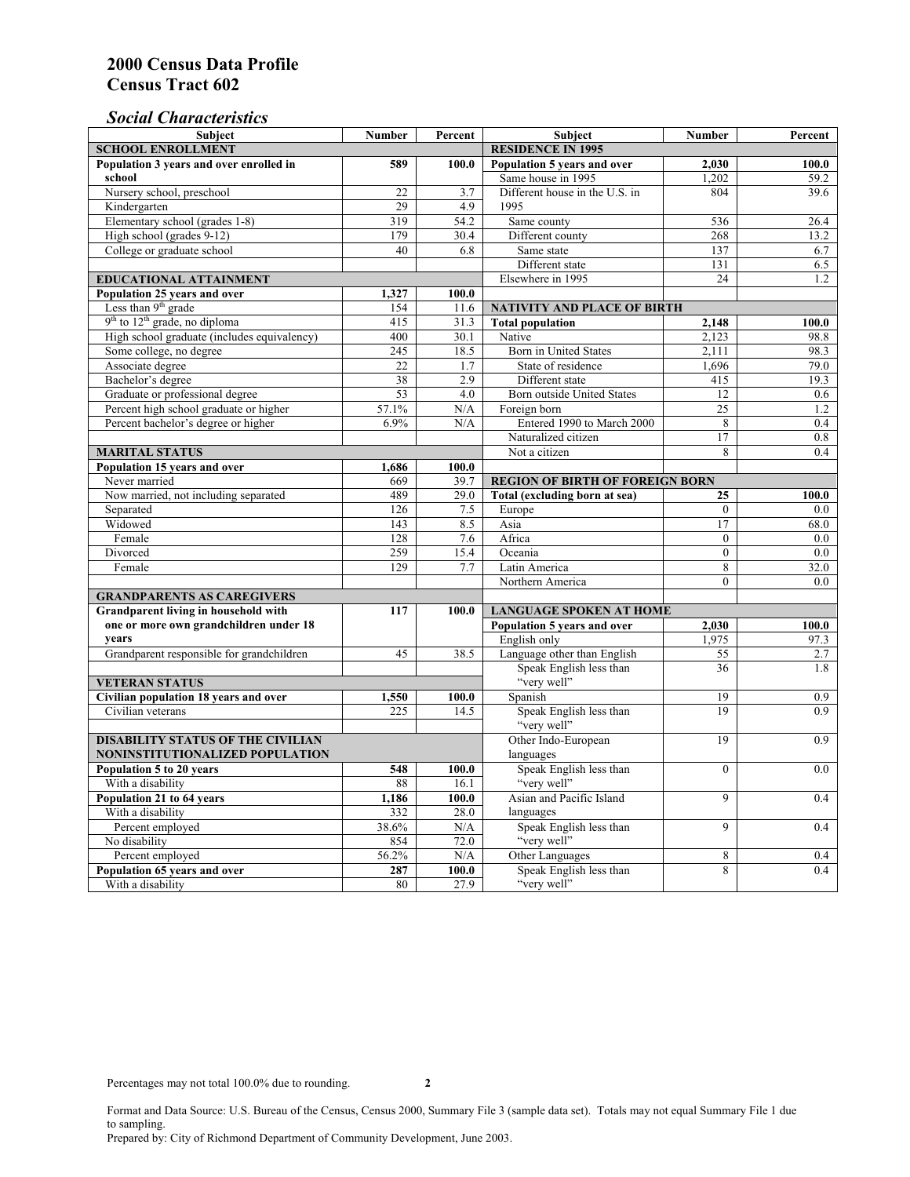# *Social Characteristics*

| <b>Subject</b>                                       | <b>Number</b>            | Percent           | <b>Subject</b>                         | <b>Number</b>   | Percent |
|------------------------------------------------------|--------------------------|-------------------|----------------------------------------|-----------------|---------|
| <b>SCHOOL ENROLLMENT</b>                             | <b>RESIDENCE IN 1995</b> |                   |                                        |                 |         |
| Population 3 years and over enrolled in              | 589                      | 100.0             | Population 5 years and over            | 2,030           | 100.0   |
| school                                               |                          |                   | Same house in 1995                     | 1,202           | 59.2    |
| Nursery school, preschool                            | 22                       | 3.7               | Different house in the U.S. in         | 804             | 39.6    |
| Kindergarten                                         | 29                       | 4.9               | 1995                                   |                 |         |
| Elementary school (grades 1-8)                       | 319                      | 54.2              | Same county                            | 536             | 26.4    |
| High school (grades 9-12)                            | 179                      | 30.4              | Different county                       | 268             | 13.2    |
| College or graduate school                           | 40                       | 6.8               | Same state                             | 137             | 6.7     |
|                                                      |                          |                   | Different state                        | 131             | 6.5     |
| EDUCATIONAL ATTAINMENT                               |                          | Elsewhere in 1995 | 24                                     | 1.2             |         |
| Population 25 years and over                         | 1,327                    | 100.0             |                                        |                 |         |
| Less than 9 <sup>th</sup> grade                      | 154                      | 11.6              | NATIVITY AND PLACE OF BIRTH            |                 |         |
| $9th$ to $12th$ grade, no diploma                    | 415                      | 31.3              | <b>Total population</b>                | 2,148           | 100.0   |
| High school graduate (includes equivalency)          | 400                      | 30.1              | Native                                 | 2.123           | 98.8    |
| Some college, no degree                              | 245                      | 18.5              | Born in United States                  | 2,111           | 98.3    |
| Associate degree                                     | 22                       | 1.7               | State of residence                     | 1,696           | 79.0    |
| Bachelor's degree                                    | 38                       | 2.9               | Different state                        | 415             | 19.3    |
| Graduate or professional degree                      | 53                       | 4.0               | Born outside United States             | 12              | 0.6     |
| Percent high school graduate or higher               | 57.1%                    | N/A               | Foreign born                           | $\overline{25}$ | 1.2     |
| Percent bachelor's degree or higher                  | 6.9%                     | N/A               | Entered 1990 to March 2000             | 8               | 0.4     |
|                                                      |                          |                   | Naturalized citizen                    | 17              | 0.8     |
| <b>MARITAL STATUS</b>                                |                          | Not a citizen     | 8                                      | 0.4             |         |
| Population 15 years and over                         | 1,686                    | 100.0             |                                        |                 |         |
| Never married                                        | 669                      | 39.7              | <b>REGION OF BIRTH OF FOREIGN BORN</b> |                 |         |
| Now married, not including separated                 | 489                      | 29.0              | Total (excluding born at sea)          | 25              | 100.0   |
| Separated                                            | 126                      | 7.5               | Europe                                 | $\overline{0}$  | 0.0     |
| Widowed                                              | 143                      | 8.5               | Asia                                   | 17              | 68.0    |
| Female                                               | 128                      | 7.6               | Africa                                 | $\theta$        | 0.0     |
| Divorced                                             | 259                      | 15.4              | Oceania                                | $\theta$        | 0.0     |
| Female                                               | 129                      | 7.7               | Latin America                          | 8               | 32.0    |
|                                                      |                          |                   | Northern America                       | $\theta$        | 0.0     |
| <b>GRANDPARENTS AS CAREGIVERS</b>                    |                          |                   |                                        |                 |         |
| Grandparent living in household with<br>117<br>100.0 |                          |                   | <b>LANGUAGE SPOKEN AT HOME</b>         |                 |         |
| one or more own grandchildren under 18               |                          |                   | Population 5 years and over            | 2,030           | 100.0   |
| years                                                |                          |                   | English only                           | 1,975           | 97.3    |
| Grandparent responsible for grandchildren            | 45                       | 38.5              | Language other than English            | 55              | 2.7     |
|                                                      |                          |                   | Speak English less than                | 36              | 1.8     |
| <b>VETERAN STATUS</b>                                |                          |                   | "very well"                            |                 |         |
| Civilian population 18 years and over                | 1,550                    | 100.0             | Spanish                                | 19              | 0.9     |
| Civilian veterans                                    | 225                      | 14.5              | Speak English less than<br>"very well" | 19              | 0.9     |
| <b>DISABILITY STATUS OF THE CIVILIAN</b>             |                          |                   | Other Indo-European                    | 19              | 0.9     |
| NONINSTITUTIONALIZED POPULATION                      | languages                |                   |                                        |                 |         |
| Population 5 to 20 years                             | Speak English less than  | $\overline{0}$    | 0.0                                    |                 |         |
| With a disability                                    | 548<br>88                | 100.0<br>16.1     | "very well"                            |                 |         |
| Population 21 to 64 years                            | 1,186                    | 100.0             | Asian and Pacific Island               | 9               | 0.4     |
| With a disability                                    | 332                      | 28.0              | languages                              |                 |         |
| Percent employed                                     | 38.6%                    | N/A               | Speak English less than                | $\overline{9}$  | 0.4     |
| No disability                                        | 854                      | 72.0              | "very well"                            |                 |         |
| Percent employed                                     | 56.2%                    | $\rm N/A$         | Other Languages                        | 8               | 0.4     |
| Population 65 years and over                         | 287                      | 100.0             | Speak English less than                | 8               | 0.4     |
| With a disability                                    | 80                       | 27.9              | "very well"                            |                 |         |

Format and Data Source: U.S. Bureau of the Census, Census 2000, Summary File 3 (sample data set). Totals may not equal Summary File 1 due to sampling. Prepared by: City of Richmond Department of Community Development, June 2003.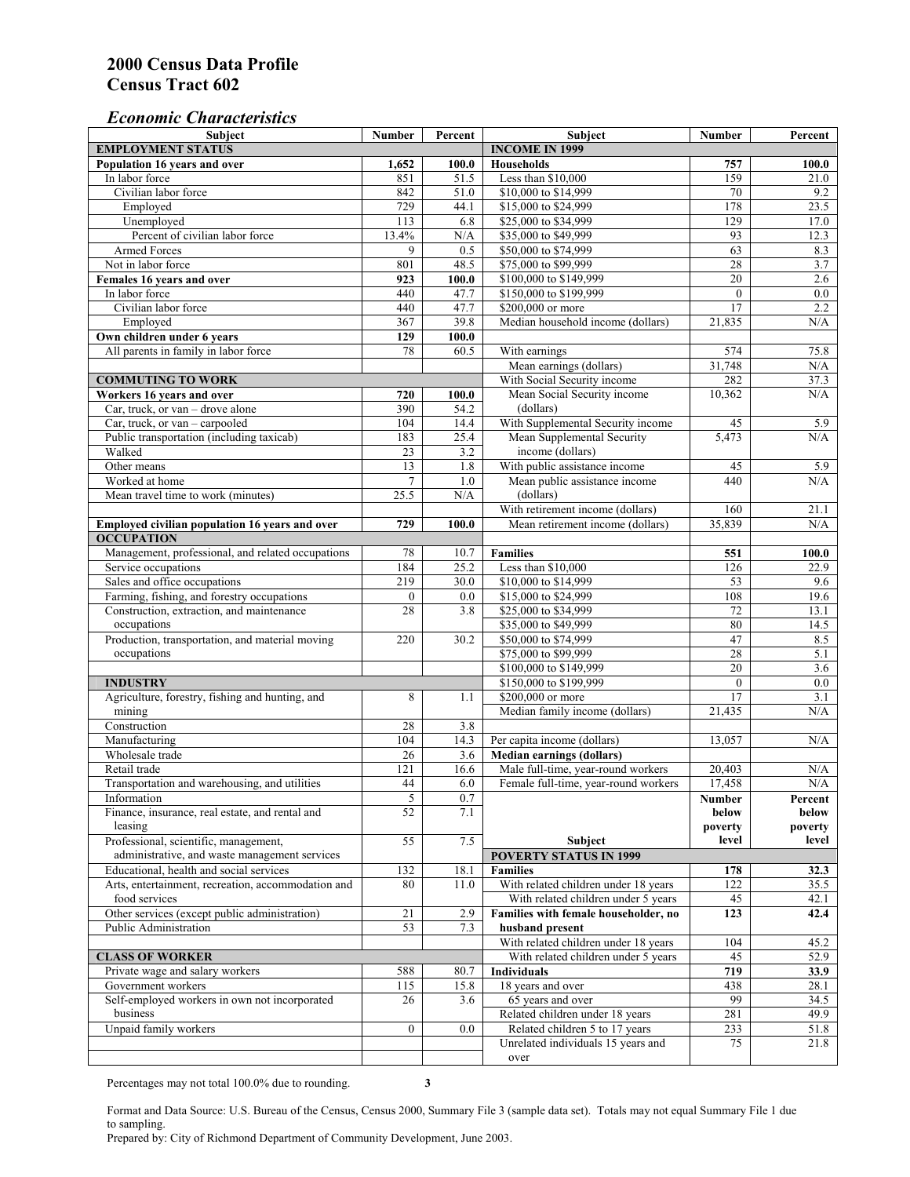## *Economic Characteristics*

| <b>Subject</b>                                     | Number           | Percent | Subject                              | Number          | Percent          |
|----------------------------------------------------|------------------|---------|--------------------------------------|-----------------|------------------|
| <b>EMPLOYMENT STATUS</b>                           |                  |         | <b>INCOME IN 1999</b>                |                 |                  |
| Population 16 years and over                       | 1,652            | 100.0   | <b>Households</b>                    | 757             | 100.0            |
| In labor force                                     | 851              | 51.5    | Less than \$10,000                   | 159             | 21.0             |
| Civilian labor force                               | 842              | 51.0    | \$10,000 to \$14,999                 | 70              | 9.2              |
| Employed                                           | 729              | 44.1    | \$15,000 to \$24,999                 | 178             | 23.5             |
| Unemployed                                         | 113              | 6.8     | \$25,000 to \$34,999                 | 129             | 17.0             |
| Percent of civilian labor force                    | 13.4%            | N/A     | \$35,000 to \$49,999                 | 93              | 12.3             |
| Armed Forces                                       | 9                | 0.5     | \$50,000 to \$74,999                 | 63              | 8.3              |
| Not in labor force                                 | 801              | 48.5    | \$75,000 to \$99,999                 | 28              | 3.7              |
| Females 16 years and over                          | 923              | 100.0   | \$100,000 to \$149,999               | $\overline{20}$ | 2.6              |
| In labor force                                     | 440              | 47.7    | \$150,000 to \$199,999               | $\mathbf{0}$    | $\overline{0.0}$ |
| Civilian labor force                               | 440              | 47.7    | \$200,000 or more                    | 17              | 2.2              |
| Employed                                           | 367              | 39.8    | Median household income (dollars)    | 21,835          | N/A              |
| Own children under 6 years                         | 129              | 100.0   |                                      |                 |                  |
| All parents in family in labor force               | 78               | 60.5    | With earnings                        | 574             | 75.8             |
|                                                    |                  |         | Mean earnings (dollars)              | 31,748          | N/A              |
| <b>COMMUTING TO WORK</b>                           |                  |         | With Social Security income          | 282             | 37.3             |
| Workers 16 years and over                          | 720              | 100.0   | Mean Social Security income          | 10,362          | N/A              |
| Car, truck, or van – drove alone                   | 390              | 54.2    | (dollars)                            |                 |                  |
| Car, truck, or van - carpooled                     | 104              | 14.4    | With Supplemental Security income    | 45              | 5.9              |
| Public transportation (including taxicab)          | 183              | 25.4    | Mean Supplemental Security           | 5,473           | N/A              |
| Walked                                             | 23               | 3.2     | income (dollars)                     |                 |                  |
| Other means                                        | 13               | 1.8     | With public assistance income        | 45              | 5.9              |
| Worked at home                                     | $\overline{7}$   | 1.0     | Mean public assistance income        | 440             | N/A              |
|                                                    |                  |         | (dollars)                            |                 |                  |
| Mean travel time to work (minutes)                 | 25.5             | N/A     |                                      |                 |                  |
|                                                    |                  |         | With retirement income (dollars)     | 160             | 21.1             |
| Employed civilian population 16 years and over     | 729              | 100.0   | Mean retirement income (dollars)     | 35,839          | N/A              |
| <b>OCCUPATION</b>                                  |                  |         |                                      |                 |                  |
| Management, professional, and related occupations  | 78               | 10.7    | <b>Families</b>                      | 551             | 100.0            |
| Service occupations                                | 184              | 25.2    | Less than \$10,000                   | 126             | 22.9             |
| Sales and office occupations                       | 219              | 30.0    | \$10,000 to \$14,999                 | 53              | 9.6              |
| Farming, fishing, and forestry occupations         | $\boldsymbol{0}$ | 0.0     | \$15,000 to \$24,999                 | 108             | 19.6             |
| Construction, extraction, and maintenance          | 28               | 3.8     | \$25,000 to \$34,999                 | 72              | 13.1             |
| occupations                                        |                  |         | \$35,000 to \$49,999                 | 80              | 14.5             |
| Production, transportation, and material moving    | 220              | 30.2    | \$50,000 to \$74,999                 | 47              | 8.5              |
| occupations                                        |                  |         | \$75,000 to \$99,999                 | 28              | 5.1              |
|                                                    |                  |         | \$100,000 to \$149,999               | $\overline{20}$ | 3.6              |
| <b>INDUSTRY</b>                                    |                  |         | \$150,000 to \$199,999               | $\mathbf{0}$    | 0.0              |
| Agriculture, forestry, fishing and hunting, and    | 8                | 1.1     | \$200,000 or more                    | 17              | 3.1              |
| mining                                             |                  |         | Median family income (dollars)       | 21,435          | N/A              |
| Construction                                       | 28               | 3.8     |                                      |                 |                  |
| Manufacturing                                      | 104              | 14.3    | Per capita income (dollars)          | 13,057          | N/A              |
| Wholesale trade                                    | 26               | 3.6     | <b>Median earnings (dollars)</b>     |                 |                  |
| Retail trade                                       | 121              | 16.6    | Male full-time, year-round workers   | 20,403          | N/A              |
| Transportation and warehousing, and utilities      | 44               | 6.0     | Female full-time, year-round workers | 17,458          | N/A              |
| Information                                        | 5                | 0.7     |                                      | Number          | Percent          |
| Finance, insurance, real estate, and rental and    | 52               | 7.1     |                                      | below           | below            |
| leasing                                            |                  |         |                                      | poverty         | poverty          |
| Professional, scientific, management,              | 55               | 7.5     | Subject                              | level           | level            |
| administrative, and waste management services      |                  |         | <b>POVERTY STATUS IN 1999</b>        |                 |                  |
| Educational, health and social services            | 132              | 18.1    | <b>Families</b>                      | 178             | 32.3             |
| Arts, entertainment, recreation, accommodation and | 80               | 11.0    | With related children under 18 years | 122             | 35.5             |
| food services                                      |                  |         | With related children under 5 years  | 45              | 42.1             |
| Other services (except public administration)      | 21               | 2.9     | Families with female householder, no | 123             | 42.4             |
| Public Administration                              | 53               | 7.3     | husband present                      |                 |                  |
|                                                    |                  |         | With related children under 18 years | 104             | 45.2             |
| <b>CLASS OF WORKER</b>                             |                  |         | With related children under 5 years  | 45              | 52.9             |
| Private wage and salary workers                    | 588              | 80.7    | Individuals                          | 719             | 33.9             |
| Government workers                                 | 115              | 15.8    | 18 years and over                    | 438             | 28.1             |
| Self-employed workers in own not incorporated      | 26               | 3.6     | 65 years and over                    | 99              | 34.5             |
| business                                           |                  |         | Related children under 18 years      | 281             | 49.9             |
| Unpaid family workers                              | $\mathbf{0}$     | 0.0     | Related children 5 to 17 years       | 233             | 51.8             |
|                                                    |                  |         | Unrelated individuals 15 years and   | 75              | 21.8             |
|                                                    |                  |         | over                                 |                 |                  |
|                                                    |                  |         |                                      |                 |                  |

Percentages may not total 100.0% due to rounding. **3** 

Format and Data Source: U.S. Bureau of the Census, Census 2000, Summary File 3 (sample data set). Totals may not equal Summary File 1 due to sampling.

Prepared by: City of Richmond Department of Community Development, June 2003.